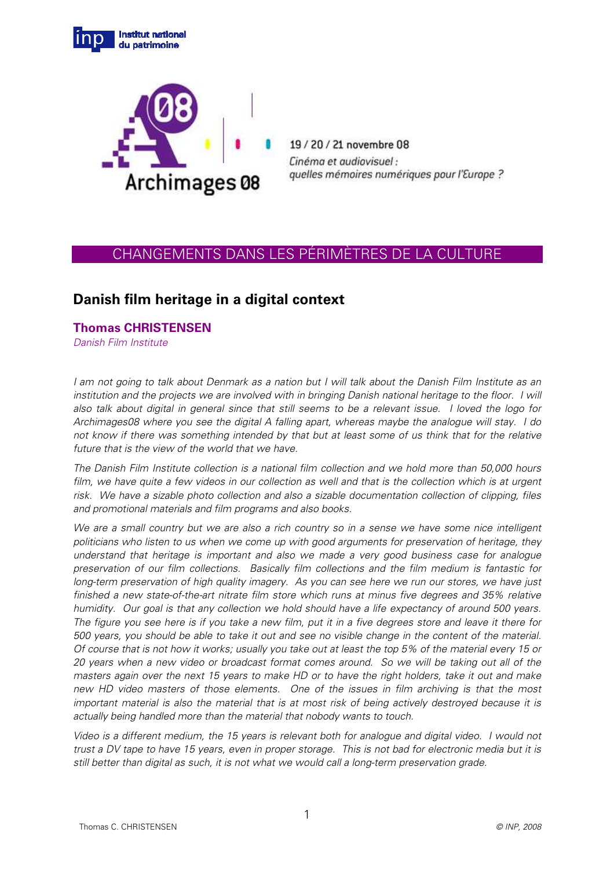



19/20/21 novembre 08 Cinéma et audiovisuel : quelles mémoires numériques pour l'Europe ?

## CHANGEMENTS DANS LES PÉRIMÈTRES DE LA CULTURE

## **Danish film heritage in a digital context**

## **Thomas CHRISTENSEN**

Danish Film Institute

I am not going to talk about Denmark as a nation but I will talk about the Danish Film Institute as an institution and the projects we are involved with in bringing Danish national heritage to the floor. I will also talk about digital in general since that still seems to be a relevant issue. I loved the logo for Archimages08 where you see the digital A falling apart, whereas maybe the analogue will stay. I do not know if there was something intended by that but at least some of us think that for the relative future that is the view of the world that we have.

The Danish Film Institute collection is a national film collection and we hold more than 50,000 hours film, we have quite a few videos in our collection as well and that is the collection which is at urgent risk. We have a sizable photo collection and also a sizable documentation collection of clipping, files and promotional materials and film programs and also books.

We are a small country but we are also a rich country so in a sense we have some nice intelligent politicians who listen to us when we come up with good arguments for preservation of heritage, they understand that heritage is important and also we made a very good business case for analogue preservation of our film collections. Basically film collections and the film medium is fantastic for long-term preservation of high quality imagery. As you can see here we run our stores, we have just finished a new state-of-the-art nitrate film store which runs at minus five degrees and 35% relative humidity. Our goal is that any collection we hold should have a life expectancy of around 500 years. The figure you see here is if you take a new film, put it in a five degrees store and leave it there for 500 years, you should be able to take it out and see no visible change in the content of the material. Of course that is not how it works; usually you take out at least the top 5% of the material every 15 or 20 years when a new video or broadcast format comes around. So we will be taking out all of the masters again over the next 15 years to make HD or to have the right holders, take it out and make new HD video masters of those elements. One of the issues in film archiving is that the most important material is also the material that is at most risk of being actively destroyed because it is actually being handled more than the material that nobody wants to touch.

Video is a different medium, the 15 years is relevant both for analogue and digital video. I would not trust a DV tape to have 15 years, even in proper storage. This is not bad for electronic media but it is still better than digital as such, it is not what we would call a long-term preservation grade.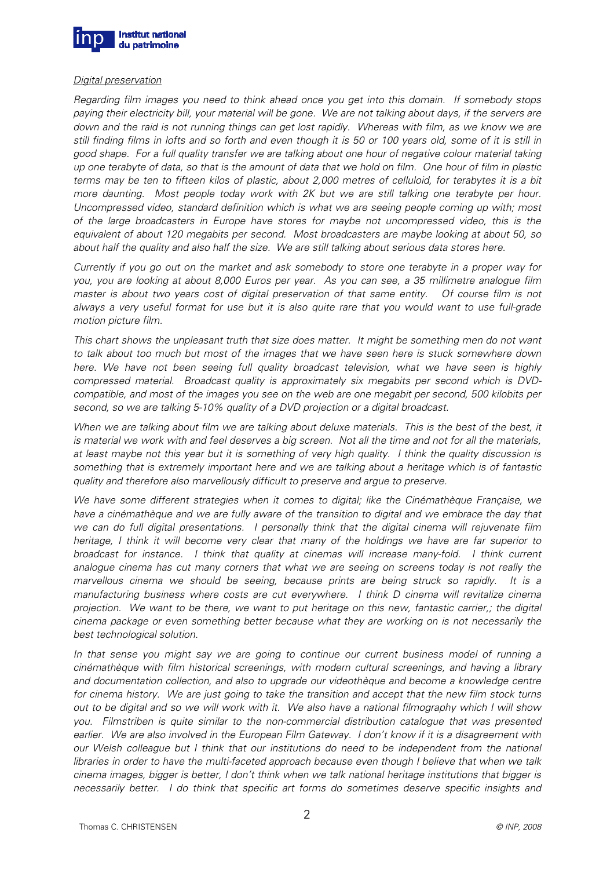

## Digital preservation

Regarding film images you need to think ahead once you get into this domain. If somebody stops paying their electricity bill, your material will be gone. We are not talking about days, if the servers are down and the raid is not running things can get lost rapidly. Whereas with film, as we know we are still finding films in lofts and so forth and even though it is 50 or 100 years old, some of it is still in good shape. For a full quality transfer we are talking about one hour of negative colour material taking up one terabyte of data, so that is the amount of data that we hold on film. One hour of film in plastic terms may be ten to fifteen kilos of plastic, about 2,000 metres of celluloid, for terabytes it is a bit more daunting. Most people today work with 2K but we are still talking one terabyte per hour. Uncompressed video, standard definition which is what we are seeing people coming up with; most of the large broadcasters in Europe have stores for maybe not uncompressed video, this is the equivalent of about 120 megabits per second. Most broadcasters are maybe looking at about 50, so about half the quality and also half the size. We are still talking about serious data stores here.

Currently if you go out on the market and ask somebody to store one terabyte in a proper way for you, you are looking at about 8,000 Euros per year. As you can see, a 35 millimetre analogue film master is about two years cost of digital preservation of that same entity. Of course film is not always a very useful format for use but it is also quite rare that you would want to use full-grade motion picture film.

This chart shows the unpleasant truth that size does matter. It might be something men do not want to talk about too much but most of the images that we have seen here is stuck somewhere down here. We have not been seeing full quality broadcast television, what we have seen is highly compressed material. Broadcast quality is approximately six megabits per second which is DVDcompatible, and most of the images you see on the web are one megabit per second, 500 kilobits per second, so we are talking 5-10% quality of a DVD projection or a digital broadcast.

When we are talking about film we are talking about deluxe materials. This is the best of the best, it is material we work with and feel deserves a big screen. Not all the time and not for all the materials, at least maybe not this year but it is something of very high quality. I think the quality discussion is something that is extremely important here and we are talking about a heritage which is of fantastic quality and therefore also marvellously difficult to preserve and argue to preserve.

We have some different strategies when it comes to digital; like the Cinémathèque Française, we have a cinémathèque and we are fully aware of the transition to digital and we embrace the day that we can do full digital presentations. I personally think that the digital cinema will rejuvenate film heritage, I think it will become very clear that many of the holdings we have are far superior to broadcast for instance. I think that quality at cinemas will increase many-fold. I think current analogue cinema has cut many corners that what we are seeing on screens today is not really the marvellous cinema we should be seeing, because prints are being struck so rapidly. It is a manufacturing business where costs are cut everywhere. I think D cinema will revitalize cinema projection. We want to be there, we want to put heritage on this new, fantastic carrier,; the digital cinema package or even something better because what they are working on is not necessarily the best technological solution.

In that sense you might say we are going to continue our current business model of running a cinémathèque with film historical screenings, with modern cultural screenings, and having a library and documentation collection, and also to upgrade our videothèque and become a knowledge centre for cinema history. We are just going to take the transition and accept that the new film stock turns out to be digital and so we will work with it. We also have a national filmography which I will show you. Filmstriben is quite similar to the non-commercial distribution catalogue that was presented earlier. We are also involved in the European Film Gateway. I don't know if it is a disagreement with our Welsh colleague but I think that our institutions do need to be independent from the national libraries in order to have the multi-faceted approach because even though I believe that when we talk cinema images, bigger is better, I don't think when we talk national heritage institutions that bigger is necessarily better. I do think that specific art forms do sometimes deserve specific insights and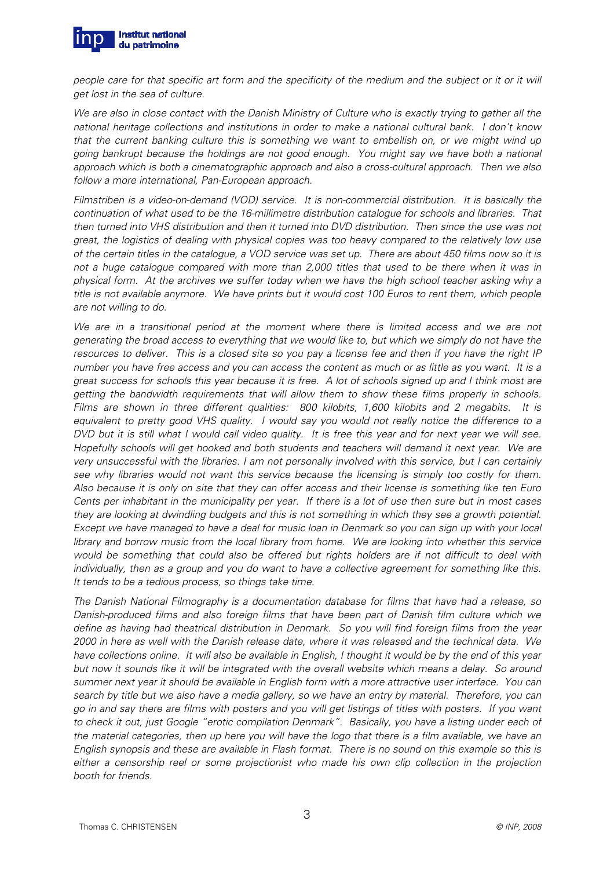

people care for that specific art form and the specificity of the medium and the subject or it or it will get lost in the sea of culture.

We are also in close contact with the Danish Ministry of Culture who is exactly trying to gather all the national heritage collections and institutions in order to make a national cultural bank. I don't know that the current banking culture this is something we want to embellish on, or we might wind up going bankrupt because the holdings are not good enough. You might say we have both a national approach which is both a cinematographic approach and also a cross-cultural approach. Then we also follow a more international, Pan-European approach.

Filmstriben is a video-on-demand (VOD) service. It is non-commercial distribution. It is basically the continuation of what used to be the 16-millimetre distribution catalogue for schools and libraries. That then turned into VHS distribution and then it turned into DVD distribution. Then since the use was not great, the logistics of dealing with physical copies was too heavy compared to the relatively low use of the certain titles in the catalogue, a VOD service was set up. There are about 450 films now so it is not a huge catalogue compared with more than 2,000 titles that used to be there when it was in physical form. At the archives we suffer today when we have the high school teacher asking why a title is not available anymore. We have prints but it would cost 100 Euros to rent them, which people are not willing to do.

We are in a transitional period at the moment where there is limited access and we are not generating the broad access to everything that we would like to, but which we simply do not have the resources to deliver. This is a closed site so you pay a license fee and then if you have the right IP number you have free access and you can access the content as much or as little as you want. It is a great success for schools this year because it is free. A lot of schools signed up and I think most are getting the bandwidth requirements that will allow them to show these films properly in schools. Films are shown in three different qualities: 800 kilobits, 1,600 kilobits and 2 megabits. It is equivalent to pretty good VHS quality. I would say you would not really notice the difference to a DVD but it is still what I would call video quality. It is free this year and for next year we will see. Hopefully schools will get hooked and both students and teachers will demand it next year. We are very unsuccessful with the libraries. I am not personally involved with this service, but I can certainly see why libraries would not want this service because the licensing is simply too costly for them. Also because it is only on site that they can offer access and their license is something like ten Euro Cents per inhabitant in the municipality per year. If there is a lot of use then sure but in most cases they are looking at dwindling budgets and this is not something in which they see a growth potential. Except we have managed to have a deal for music loan in Denmark so you can sign up with your local library and borrow music from the local library from home. We are looking into whether this service would be something that could also be offered but rights holders are if not difficult to deal with individually, then as a group and you do want to have a collective agreement for something like this. It tends to be a tedious process, so things take time.

The Danish National Filmography is a documentation database for films that have had a release, so Danish-produced films and also foreign films that have been part of Danish film culture which we define as having had theatrical distribution in Denmark. So you will find foreign films from the year 2000 in here as well with the Danish release date, where it was released and the technical data. We have collections online. It will also be available in English, I thought it would be by the end of this year but now it sounds like it will be integrated with the overall website which means a delay. So around summer next year it should be available in English form with a more attractive user interface. You can search by title but we also have a media gallery, so we have an entry by material. Therefore, you can go in and say there are films with posters and you will get listings of titles with posters. If you want to check it out, just Google "erotic compilation Denmark". Basically, you have a listing under each of the material categories, then up here you will have the logo that there is a film available, we have an English synopsis and these are available in Flash format. There is no sound on this example so this is either a censorship reel or some projectionist who made his own clip collection in the projection booth for friends.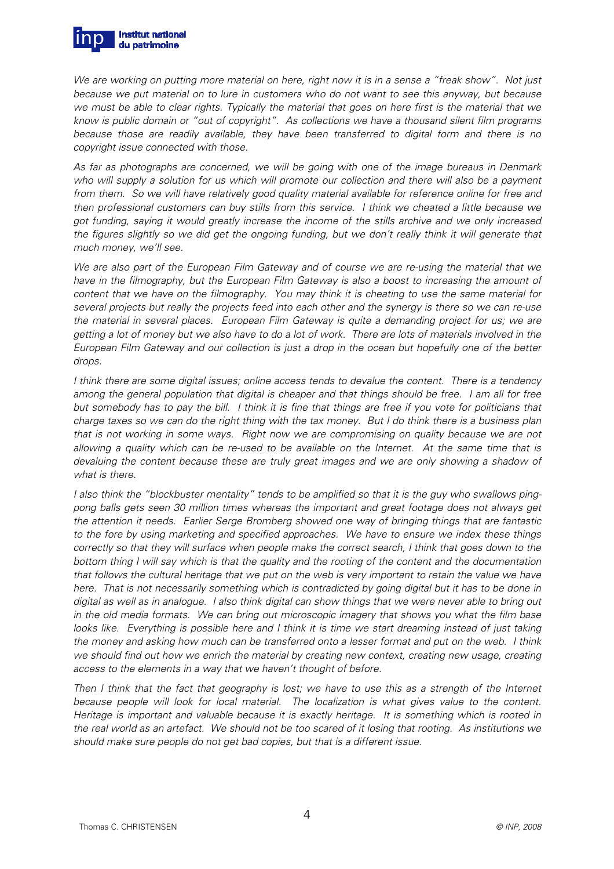

We are working on putting more material on here, right now it is in a sense a "freak show". Not just because we put material on to lure in customers who do not want to see this anyway, but because we must be able to clear rights. Typically the material that goes on here first is the material that we know is public domain or "out of copyright". As collections we have a thousand silent film programs because those are readily available, they have been transferred to digital form and there is no copyright issue connected with those.

As far as photographs are concerned, we will be going with one of the image bureaus in Denmark who will supply a solution for us which will promote our collection and there will also be a payment from them. So we will have relatively good quality material available for reference online for free and then professional customers can buy stills from this service. I think we cheated a little because we got funding, saying it would greatly increase the income of the stills archive and we only increased the figures slightly so we did get the ongoing funding, but we don't really think it will generate that much money, we'll see.

We are also part of the European Film Gateway and of course we are re-using the material that we have in the filmography, but the European Film Gateway is also a boost to increasing the amount of content that we have on the filmography. You may think it is cheating to use the same material for several projects but really the projects feed into each other and the synergy is there so we can re-use the material in several places. European Film Gateway is quite a demanding project for us; we are getting a lot of money but we also have to do a lot of work. There are lots of materials involved in the European Film Gateway and our collection is just a drop in the ocean but hopefully one of the better drops.

I think there are some digital issues; online access tends to devalue the content. There is a tendency among the general population that digital is cheaper and that things should be free. I am all for free but somebody has to pay the bill. I think it is fine that things are free if you vote for politicians that charge taxes so we can do the right thing with the tax money. But I do think there is a business plan that is not working in some ways. Right now we are compromising on quality because we are not allowing a quality which can be re-used to be available on the Internet. At the same time that is devaluing the content because these are truly great images and we are only showing a shadow of what is there.

I also think the "blockbuster mentality" tends to be amplified so that it is the guy who swallows pingpong balls gets seen 30 million times whereas the important and great footage does not always get the attention it needs. Earlier Serge Bromberg showed one way of bringing things that are fantastic to the fore by using marketing and specified approaches. We have to ensure we index these things correctly so that they will surface when people make the correct search, I think that goes down to the bottom thing I will say which is that the quality and the rooting of the content and the documentation that follows the cultural heritage that we put on the web is very important to retain the value we have here. That is not necessarily something which is contradicted by going digital but it has to be done in digital as well as in analogue. I also think digital can show things that we were never able to bring out in the old media formats. We can bring out microscopic imagery that shows you what the film base looks like. Everything is possible here and I think it is time we start dreaming instead of just taking the money and asking how much can be transferred onto a lesser format and put on the web. I think we should find out how we enrich the material by creating new context, creating new usage, creating access to the elements in a way that we haven't thought of before.

Then I think that the fact that geography is lost; we have to use this as a strength of the Internet because people will look for local material. The localization is what gives value to the content. Heritage is important and valuable because it is exactly heritage. It is something which is rooted in the real world as an artefact. We should not be too scared of it losing that rooting. As institutions we should make sure people do not get bad copies, but that is a different issue.